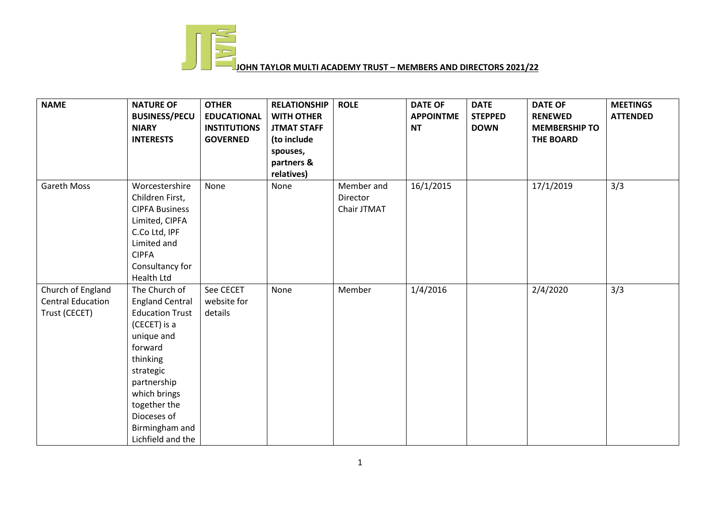

## **JOHN TAYLOR MULTI ACADEMY TRUST – MEMBERS AND DIRECTORS 2021/22**

| <b>NAME</b>                                                    | <b>NATURE OF</b><br><b>BUSINESS/PECU</b><br><b>NIARY</b><br><b>INTERESTS</b>                                                                                                                                                             | <b>OTHER</b><br><b>EDUCATIONAL</b><br><b>INSTITUTIONS</b><br><b>GOVERNED</b> | <b>RELATIONSHIP</b><br><b>WITH OTHER</b><br><b>JTMAT STAFF</b> | <b>ROLE</b>                           | <b>DATE OF</b><br><b>APPOINTME</b><br><b>NT</b> | <b>DATE</b><br><b>STEPPED</b><br><b>DOWN</b> | <b>DATE OF</b><br><b>RENEWED</b><br><b>MEMBERSHIP TO</b> | <b>MEETINGS</b><br><b>ATTENDED</b> |
|----------------------------------------------------------------|------------------------------------------------------------------------------------------------------------------------------------------------------------------------------------------------------------------------------------------|------------------------------------------------------------------------------|----------------------------------------------------------------|---------------------------------------|-------------------------------------------------|----------------------------------------------|----------------------------------------------------------|------------------------------------|
|                                                                |                                                                                                                                                                                                                                          |                                                                              | (to include<br>spouses,<br>partners &<br>relatives)            |                                       |                                                 |                                              | <b>THE BOARD</b>                                         |                                    |
| <b>Gareth Moss</b>                                             | Worcestershire<br>Children First,<br><b>CIPFA Business</b><br>Limited, CIPFA<br>C.Co Ltd, IPF<br>Limited and<br><b>CIPFA</b><br>Consultancy for<br>Health Ltd                                                                            | None                                                                         | None                                                           | Member and<br>Director<br>Chair JTMAT | 16/1/2015                                       |                                              | 17/1/2019                                                | 3/3                                |
| Church of England<br><b>Central Education</b><br>Trust (CECET) | The Church of<br><b>England Central</b><br><b>Education Trust</b><br>(CECET) is a<br>unique and<br>forward<br>thinking<br>strategic<br>partnership<br>which brings<br>together the<br>Dioceses of<br>Birmingham and<br>Lichfield and the | See CECET<br>website for<br>details                                          | None                                                           | Member                                | 1/4/2016                                        |                                              | 2/4/2020                                                 | 3/3                                |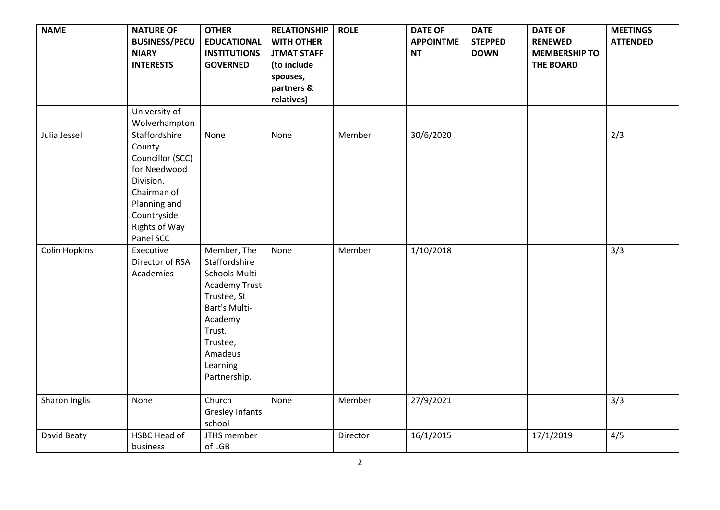| <b>NAME</b>          | <b>NATURE OF</b><br><b>BUSINESS/PECU</b><br><b>NIARY</b><br><b>INTERESTS</b>                                                                         | <b>OTHER</b><br><b>EDUCATIONAL</b><br><b>INSTITUTIONS</b><br><b>GOVERNED</b>                                                                                                   | <b>RELATIONSHIP</b><br><b>WITH OTHER</b><br><b>JTMAT STAFF</b><br>(to include<br>spouses,<br>partners & | <b>ROLE</b> | <b>DATE OF</b><br><b>APPOINTME</b><br><b>NT</b> | <b>DATE</b><br><b>STEPPED</b><br><b>DOWN</b> | <b>DATE OF</b><br><b>RENEWED</b><br><b>MEMBERSHIP TO</b><br><b>THE BOARD</b> | <b>MEETINGS</b><br><b>ATTENDED</b> |
|----------------------|------------------------------------------------------------------------------------------------------------------------------------------------------|--------------------------------------------------------------------------------------------------------------------------------------------------------------------------------|---------------------------------------------------------------------------------------------------------|-------------|-------------------------------------------------|----------------------------------------------|------------------------------------------------------------------------------|------------------------------------|
|                      | University of                                                                                                                                        |                                                                                                                                                                                | relatives)                                                                                              |             |                                                 |                                              |                                                                              |                                    |
|                      | Wolverhampton                                                                                                                                        |                                                                                                                                                                                |                                                                                                         |             |                                                 |                                              |                                                                              |                                    |
| Julia Jessel         | Staffordshire<br>County<br>Councillor (SCC)<br>for Needwood<br>Division.<br>Chairman of<br>Planning and<br>Countryside<br>Rights of Way<br>Panel SCC | None                                                                                                                                                                           | None                                                                                                    | Member      | 30/6/2020                                       |                                              |                                                                              | 2/3                                |
| <b>Colin Hopkins</b> | Executive<br>Director of RSA<br>Academies                                                                                                            | Member, The<br>Staffordshire<br>Schools Multi-<br><b>Academy Trust</b><br>Trustee, St<br>Bart's Multi-<br>Academy<br>Trust.<br>Trustee,<br>Amadeus<br>Learning<br>Partnership. | None                                                                                                    | Member      | 1/10/2018                                       |                                              |                                                                              | $\overline{3}/3$                   |
| Sharon Inglis        | None                                                                                                                                                 | Church<br><b>Gresley Infants</b><br>school                                                                                                                                     | None                                                                                                    | Member      | 27/9/2021                                       |                                              |                                                                              | 3/3                                |
| David Beaty          | HSBC Head of<br>business                                                                                                                             | JTHS member<br>of LGB                                                                                                                                                          |                                                                                                         | Director    | 16/1/2015                                       |                                              | 17/1/2019                                                                    | 4/5                                |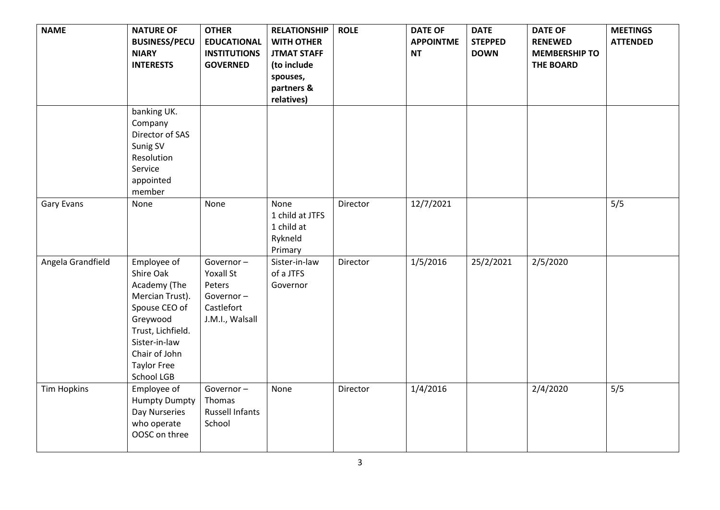| <b>NAME</b>        | <b>NATURE OF</b><br><b>BUSINESS/PECU</b><br><b>NIARY</b><br><b>INTERESTS</b>                                                                                                        | <b>OTHER</b><br><b>EDUCATIONAL</b><br><b>INSTITUTIONS</b><br><b>GOVERNED</b>          | <b>RELATIONSHIP</b><br><b>WITH OTHER</b><br><b>JTMAT STAFF</b><br>(to include<br>spouses,<br>partners &<br>relatives) | <b>ROLE</b> | <b>DATE OF</b><br><b>APPOINTME</b><br><b>NT</b> | <b>DATE</b><br><b>STEPPED</b><br><b>DOWN</b> | <b>DATE OF</b><br><b>RENEWED</b><br><b>MEMBERSHIP TO</b><br><b>THE BOARD</b> | <b>MEETINGS</b><br><b>ATTENDED</b> |
|--------------------|-------------------------------------------------------------------------------------------------------------------------------------------------------------------------------------|---------------------------------------------------------------------------------------|-----------------------------------------------------------------------------------------------------------------------|-------------|-------------------------------------------------|----------------------------------------------|------------------------------------------------------------------------------|------------------------------------|
|                    | banking UK.<br>Company<br>Director of SAS<br>Sunig SV<br>Resolution<br>Service<br>appointed<br>member                                                                               |                                                                                       |                                                                                                                       |             |                                                 |                                              |                                                                              |                                    |
| <b>Gary Evans</b>  | None                                                                                                                                                                                | None                                                                                  | None<br>1 child at JTFS<br>1 child at<br>Rykneld<br>Primary                                                           | Director    | 12/7/2021                                       |                                              |                                                                              | 5/5                                |
| Angela Grandfield  | Employee of<br>Shire Oak<br>Academy (The<br>Mercian Trust).<br>Spouse CEO of<br>Greywood<br>Trust, Lichfield.<br>Sister-in-law<br>Chair of John<br><b>Taylor Free</b><br>School LGB | Governor-<br><b>Yoxall St</b><br>Peters<br>Governor-<br>Castlefort<br>J.M.I., Walsall | Sister-in-law<br>of a JTFS<br>Governor                                                                                | Director    | 1/5/2016                                        | 25/2/2021                                    | 2/5/2020                                                                     |                                    |
| <b>Tim Hopkins</b> | Employee of<br><b>Humpty Dumpty</b><br>Day Nurseries<br>who operate<br>OOSC on three                                                                                                | Governor-<br>Thomas<br><b>Russell Infants</b><br>School                               | None                                                                                                                  | Director    | 1/4/2016                                        |                                              | 2/4/2020                                                                     | 5/5                                |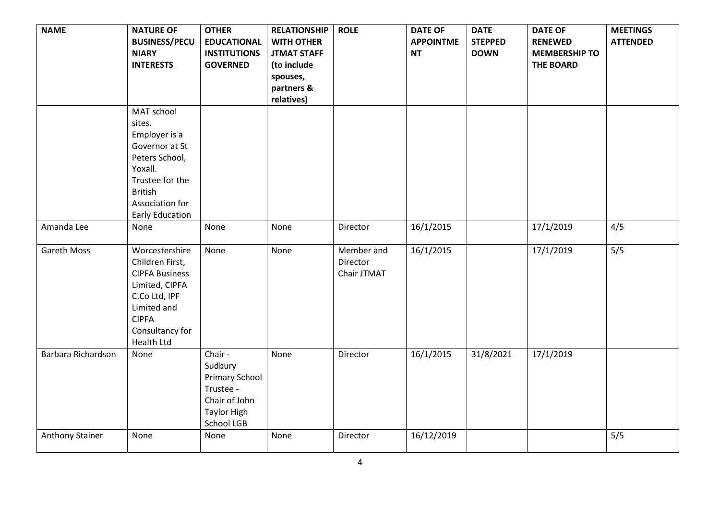| <b>NAME</b>        | <b>NATURE OF</b><br><b>BUSINESS/PECU</b><br><b>NIARY</b><br><b>INTERESTS</b>                                                                                           | <b>OTHER</b><br><b>EDUCATIONAL</b><br><b>INSTITUTIONS</b><br><b>GOVERNED</b>                                         | <b>RELATIONSHIP</b><br><b>WITH OTHER</b><br><b>JTMAT STAFF</b><br>(to include<br>spouses,<br>partners &<br>relatives) | <b>ROLE</b>                           | <b>DATE OF</b><br><b>APPOINTME</b><br><b>NT</b> | <b>DATE</b><br><b>STEPPED</b><br><b>DOWN</b> | <b>DATE OF</b><br><b>RENEWED</b><br><b>MEMBERSHIP TO</b><br><b>THE BOARD</b> | <b>MEETINGS</b><br><b>ATTENDED</b> |
|--------------------|------------------------------------------------------------------------------------------------------------------------------------------------------------------------|----------------------------------------------------------------------------------------------------------------------|-----------------------------------------------------------------------------------------------------------------------|---------------------------------------|-------------------------------------------------|----------------------------------------------|------------------------------------------------------------------------------|------------------------------------|
|                    | MAT school<br>sites.<br>Employer is a<br>Governor at St<br>Peters School,<br>Yoxall.<br>Trustee for the<br><b>British</b><br>Association for<br><b>Early Education</b> |                                                                                                                      |                                                                                                                       |                                       |                                                 |                                              |                                                                              |                                    |
| Amanda Lee         | None                                                                                                                                                                   | None                                                                                                                 | None                                                                                                                  | Director                              | 16/1/2015                                       |                                              | 17/1/2019                                                                    | 4/5                                |
| <b>Gareth Moss</b> | Worcestershire<br>Children First,<br><b>CIPFA Business</b><br>Limited, CIPFA<br>C.Co Ltd, IPF<br>Limited and<br><b>CIPFA</b><br>Consultancy for<br>Health Ltd          | None                                                                                                                 | None                                                                                                                  | Member and<br>Director<br>Chair JTMAT | 16/1/2015                                       |                                              | 17/1/2019                                                                    | 5/5                                |
| Barbara Richardson | None                                                                                                                                                                   | Chair -<br>Sudbury<br><b>Primary School</b><br>Trustee -<br>Chair of John<br><b>Taylor High</b><br><b>School LGB</b> | None                                                                                                                  | Director                              | 16/1/2015                                       | 31/8/2021                                    | 17/1/2019                                                                    |                                    |
| Anthony Stainer    | None                                                                                                                                                                   | None                                                                                                                 | None                                                                                                                  | Director                              | 16/12/2019                                      |                                              |                                                                              | 5/5                                |